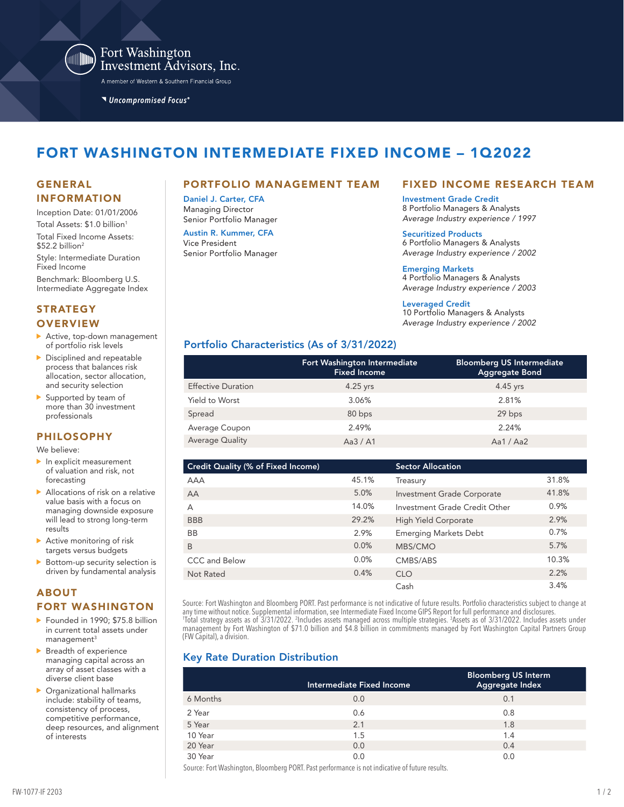

Fort Washington Investment Advisors, Inc.

A member of Western & Southern Financial Group

Uncompromised Focus®

# FORT WASHINGTON INTERMEDIATE FIXED INCOME – 1Q2022

# INFORMATION

Inception Date: 01/01/2006 Total Assets: \$1.0 billion<sup>1</sup> Total Fixed Income Assets:  $$52.2$  billion<sup>2</sup>

Style: Intermediate Duration Fixed Income

Benchmark: Bloomberg U.S. Intermediate Aggregate Index

#### **STRATEGY OVERVIEW**

- Active, top-down management of portfolio risk levels
- Disciplined and repeatable process that balances risk allocation, sector allocation, and security selection
- Supported by team of more than 30 investment professionals

#### **PHILOSOPHY**

We believe:

- In explicit measurement of valuation and risk, not forecasting
- Allocations of risk on a relative value basis with a focus on managing downside exposure will lead to strong long-term results
- Active monitoring of risk targets versus budgets
- $\triangleright$  Bottom-up security selection is driven by fundamental analysis

## ABOUT

#### FORT WASHINGTON

- Founded in 1990; \$75.8 billion in current total assets under  $m$ anagement $3$
- **Breadth of experience** managing capital across an array of asset classes with a diverse client base
- Organizational hallmarks include: stability of teams, consistency of process, competitive performance, deep resources, and alignment of interests

#### GENERAL PORTFOLIO MANAGEMENT TEAM

Daniel J. Carter, CFA Managing Director Senior Portfolio Manager

Austin R. Kummer, CFA Vice President Senior Portfolio Manager

## FIXED INCOME RESEARCH TEAM

Investment Grade Credit 8 Portfolio Managers & Analysts *Average Industry experience / 1997*

Securitized Products

6 Portfolio Managers & Analysts *Average Industry experience / 2002*

Emerging Markets 4 Portfolio Managers & Analysts

*Average Industry experience / 2003*

Leveraged Credit

10 Portfolio Managers & Analysts *Average Industry experience / 2002*

# Portfolio Characteristics (As of 3/31/2022)

|                           | Fort Washington Intermediate<br><b>Fixed Income</b> | <b>Bloomberg US Intermediate</b><br><b>Aggregate Bond</b> |
|---------------------------|-----------------------------------------------------|-----------------------------------------------------------|
| <b>Effective Duration</b> | $4.25$ yrs                                          | $4.45$ yrs                                                |
| Yield to Worst            | 3.06%                                               | 2.81%                                                     |
| Spread                    | 80 bps                                              | 29 bps                                                    |
| Average Coupon            | 2.49%                                               | 2.24%                                                     |
| Average Quality           | Aa $3/$ A1                                          | Aa1 / Aa2                                                 |

| Credit Quality (% of Fixed Income) |       | <b>Sector Allocation</b>      |       |
|------------------------------------|-------|-------------------------------|-------|
| <b>AAA</b>                         | 45.1% | Treasury                      | 31.8% |
| AA                                 | 5.0%  | Investment Grade Corporate    | 41.8% |
| A                                  | 14.0% | Investment Grade Credit Other | 0.9%  |
| <b>BBB</b>                         | 29.2% | High Yield Corporate          | 2.9%  |
| <b>BB</b>                          | 2.9%  | <b>Emerging Markets Debt</b>  | 0.7%  |
| B                                  | 0.0%  | MBS/CMO                       | 5.7%  |
| CCC and Below                      | 0.0%  | CMBS/ABS                      | 10.3% |
| Not Rated                          | 0.4%  | <b>CLO</b>                    | 2.2%  |
|                                    |       | Cash                          | 3.4%  |

Source: Fort Washington and Bloomberg PORT. Past performance is not indicative of future results. Portfolio characteristics subject to change at any time without notice. Supplemental information, see Intermediate Fixed Income GIPS Report for full performance and disclosures.<br>'Total strategy assets as of 3/31/2022. <sup>2</sup>Includes assets managed across multiple strategi management by Fort Washington of \$71.0 billion and \$4.8 billion in commitments managed by Fort Washington Capital Partners Group (FW Capital), a division.

# Key Rate Duration Distribution

|          | Intermediate Fixed Income | <b>Bloomberg US Interm</b><br>Aggregate Index |
|----------|---------------------------|-----------------------------------------------|
| 6 Months | 0.0                       | 0.1                                           |
| 2 Year   | 0.6                       | 0.8                                           |
| 5 Year   | 2.1                       | 1.8                                           |
| 10 Year  | 1.5                       | 1.4                                           |
| 20 Year  | 0.0                       | 0.4                                           |
| 30 Year  | 0.0                       | 0.0                                           |

Source: Fort Washington, Bloomberg PORT. Past performance is not indicative of future results.